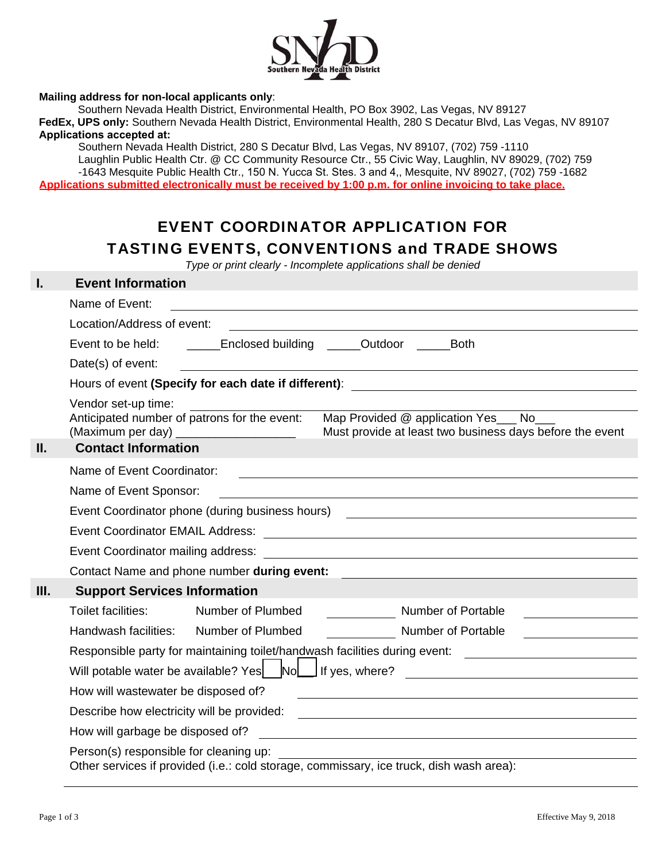

#### **Mailing address for non-local applicants only**:

Southern Nevada Health District, Environmental Health, PO Box 3902, Las Vegas, NV 89127 **FedEx, UPS only:** Southern Nevada Health District, Environmental Health, 280 S Decatur Blvd, Las Vegas, NV 89107 **Applications accepted at:** 

Southern Nevada Health District, 280 S Decatur Blvd, Las Vegas, NV 89107, (702) 759 -1110 Laughlin Public Health Ctr. @ CC Community Resource Ctr., 55 Civic Way, Laughlin, NV 89029, (702) 759 -1643 Mesquite Public Health Ctr., 150 N. Yucca St. Stes. 3 and 4,, Mesquite, NV 89027, (702) 759 -1682 **Applications submitted electronically must be received by 1:00 p.m. for online invoicing to take place.** 

# EVENT COORDINATOR APPLICATION FOR TASTING EVENTS, CONVENTIONS and TRADE SHOWS

*Type or print clearly - Incomplete applications shall be denied* 

| I.   | <b>Event Information</b>                                                                                                                                                                          |
|------|---------------------------------------------------------------------------------------------------------------------------------------------------------------------------------------------------|
|      | Name of Event:                                                                                                                                                                                    |
|      | Location/Address of event:<br><u> 1980 - Andrea Andrew Maria (h. 1980).</u>                                                                                                                       |
|      | Event to be held: ________Enclosed building ______Outdoor ______Both                                                                                                                              |
|      | Date(s) of event:                                                                                                                                                                                 |
|      |                                                                                                                                                                                                   |
|      | Vendor set-up time:                                                                                                                                                                               |
|      | Anticipated number of patrons for the event:<br>Map Provided @ application Yes ___ No___<br>(Maximum per day) _______________________<br>Must provide at least two business days before the event |
| Ш.   | <b>Contact Information</b>                                                                                                                                                                        |
|      | Name of Event Coordinator:                                                                                                                                                                        |
|      | Name of Event Sponsor:<br><u> 1980 - Johann Stoff, deutscher Stoffen und der Stoffen und der Stoffen und der Stoffen und der Stoffen und der</u>                                                  |
|      | Event Coordinator phone (during business hours) [19] [19] The Coordinator phone (during business hours)                                                                                           |
|      |                                                                                                                                                                                                   |
|      |                                                                                                                                                                                                   |
|      | Contact Name and phone number during event:                                                                                                                                                       |
| III. | <b>Support Services Information</b>                                                                                                                                                               |
|      | Toilet facilities:<br>Number of Plumbed<br><b>Number of Portable</b>                                                                                                                              |
|      | Handwash facilities:<br>Number of Plumbed<br>Number of Portable                                                                                                                                   |
|      | Responsible party for maintaining toilet/handwash facilities during event: ________________________                                                                                               |
|      | Will potable water be available? Yes Mold If yes, where?                                                                                                                                          |
|      | How will wastewater be disposed of?                                                                                                                                                               |
|      | Describe how electricity will be provided:<br><u> 1980 - Jan Samuel Barbara, martin di sebagai personal di sebagai personal di sebagai personal di sebagai per</u>                                |
|      | How will garbage be disposed of?<br><u> 1980 - Jan Samuel Barbara, margaret e populari e populari e populari e populari e populari e populari e popu</u>                                          |
|      | Person(s) responsible for cleaning up:<br>Other services if provided (i.e.: cold storage, commissary, ice truck, dish wash area):                                                                 |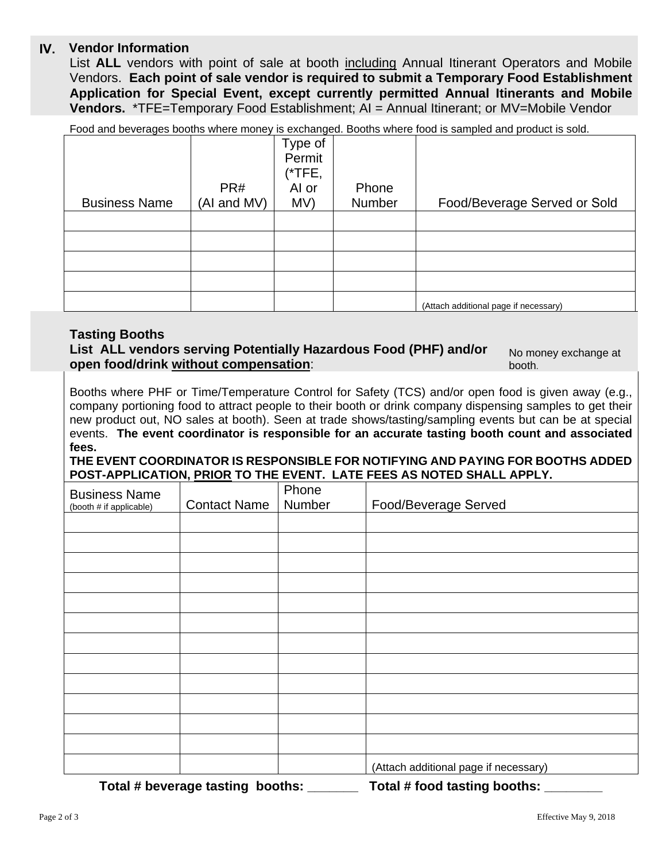## **Vendor Information IV.**

List **ALL** vendors with point of sale at booth including Annual Itinerant Operators and Mobile Vendors. **Each point of sale vendor is required to submit a Temporary Food Establishment Application for Special Event, except currently permitted Annual Itinerants and Mobile Vendors.** \*TFE=Temporary Food Establishment; AI = Annual Itinerant; or MV=Mobile Vendor

Food and beverages booths where money is exchanged. Booths where food is sampled and product is sold.

|                      | PR#         | Type of<br>Permit<br>(*TFE,<br>Al or | Phone  |                                       |
|----------------------|-------------|--------------------------------------|--------|---------------------------------------|
| <b>Business Name</b> | (AI and MV) | MV)                                  | Number | Food/Beverage Served or Sold          |
|                      |             |                                      |        |                                       |
|                      |             |                                      |        |                                       |
|                      |             |                                      |        |                                       |
|                      |             |                                      |        |                                       |
|                      |             |                                      |        | (Attach additional page if necessary) |

### **Tasting Booths**

**List ALL vendors serving Potentially Hazardous Food (PHF) and/or open food/drink without compensation**: booth.

No money exchange at

Booths where PHF or Time/Temperature Control for Safety (TCS) and/or open food is given away (e.g., company portioning food to attract people to their booth or drink company dispensing samples to get their new product out, NO sales at booth). Seen at trade shows/tasting/sampling events but can be at special events. **The event coordinator is responsible for an accurate tasting booth count and associated fees.** 

**THE EVENT COORDINATOR IS RESPONSIBLE FOR NOTIFYING AND PAYING FOR BOOTHS ADDED POST-APPLICATION, PRIOR TO THE EVENT. LATE FEES AS NOTED SHALL APPLY.**

| . <u>.</u><br><b>Business Name</b><br>(booth # if applicable) | <b>Contact Name</b> | Phone<br>Number | Food/Beverage Served                  |
|---------------------------------------------------------------|---------------------|-----------------|---------------------------------------|
|                                                               |                     |                 |                                       |
|                                                               |                     |                 |                                       |
|                                                               |                     |                 |                                       |
|                                                               |                     |                 |                                       |
|                                                               |                     |                 |                                       |
|                                                               |                     |                 |                                       |
|                                                               |                     |                 |                                       |
|                                                               |                     |                 |                                       |
|                                                               |                     |                 |                                       |
|                                                               |                     |                 |                                       |
|                                                               |                     |                 |                                       |
|                                                               |                     |                 |                                       |
|                                                               |                     |                 | (Attach additional page if necessary) |

**Total # beverage tasting booths: \_\_\_\_\_\_\_ Total # food tasting booths: \_\_\_\_\_\_\_\_**